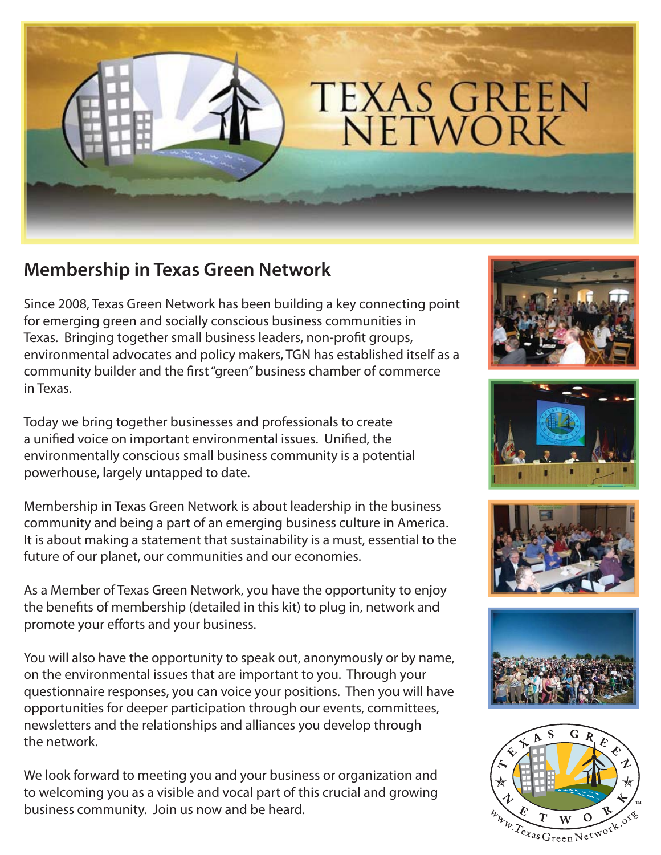

## **Membership in Texas Green Network**

Since 2008, Texas Green Network has been building a key connecting point for emerging green and socially conscious business communities in Texas. Bringing together small business leaders, non-profit groups, environmental advocates and policy makers, TGN has established itself as a community builder and the first "green" business chamber of commerce in Texas.

Today we bring together businesses and professionals to create a unified voice on important environmental issues. Unified, the environmentally conscious small business community is a potential powerhouse, largely untapped to date.

Membership in Texas Green Network is about leadership in the business community and being a part of an emerging business culture in America. It is about making a statement that sustainability is a must, essential to the future of our planet, our communities and our economies.

As a Member of Texas Green Network, you have the opportunity to enjoy the benefits of membership (detailed in this kit) to plug in, network and promote your efforts and your business.

You will also have the opportunity to speak out, anonymously or by name, on the environmental issues that are important to you. Through your questionnaire responses, you can voice your positions. Then you will have opportunities for deeper participation through our events, committees, newsletters and the relationships and alliances you develop through the network.

We look forward to meeting you and your business or organization and to welcoming you as a visible and vocal part of this crucial and growing business community. Join us now and be heard.









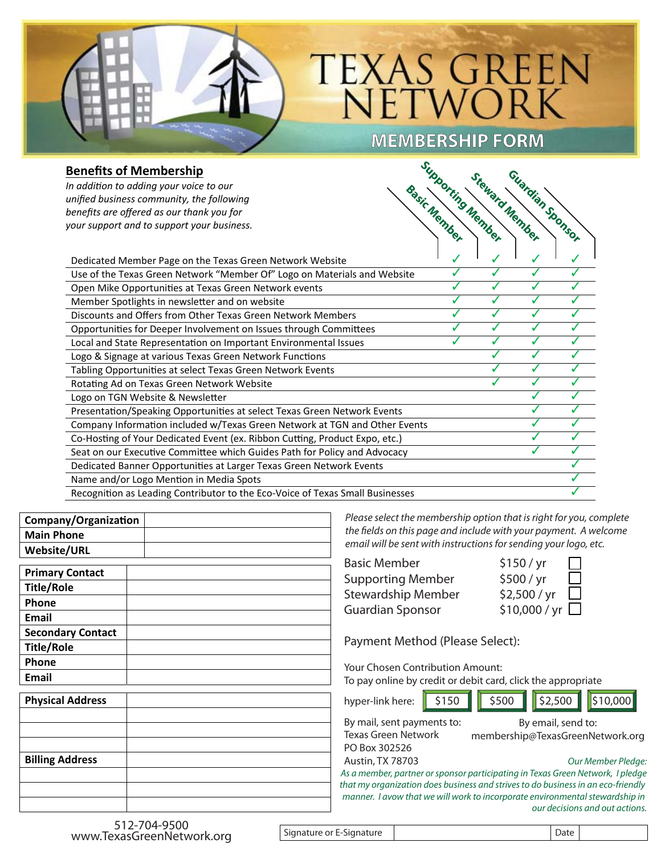## **TEXAS GREEN** NETWORK

**MEMBERSHIP FORM FORM** 

## **Benefits of Membership**

| <b>Benefits of Membership</b>                                                 | Supporting Member |                |                  |                          |
|-------------------------------------------------------------------------------|-------------------|----------------|------------------|--------------------------|
| In addition to adding your voice to our                                       |                   |                |                  |                          |
| unified business community, the following                                     |                   |                |                  |                          |
| benefits are offered as our thank you for                                     |                   |                |                  |                          |
| your support and to support your business.                                    | Basic Member      | Steward Member | Guardian Sponsor |                          |
|                                                                               |                   |                |                  |                          |
| Dedicated Member Page on the Texas Green Network Website                      |                   |                |                  |                          |
| Use of the Texas Green Network "Member Of" Logo on Materials and Website      | J                 | J              | J                | $\overline{\mathscr{N}}$ |
| Open Mike Opportunities at Texas Green Network events                         |                   |                | J                |                          |
| Member Spotlights in newsletter and on website                                |                   |                |                  |                          |
| Discounts and Offers from Other Texas Green Network Members                   |                   |                |                  |                          |
| Opportunities for Deeper Involvement on Issues through Committees             |                   | s              | J                |                          |
| Local and State Representation on Important Environmental Issues              |                   |                | J                |                          |
| Logo & Signage at various Texas Green Network Functions                       |                   |                | ./               |                          |
| Tabling Opportunities at select Texas Green Network Events                    |                   |                | J                |                          |
| Rotating Ad on Texas Green Network Website                                    |                   | ℐ              | ./               | J                        |
| Logo on TGN Website & Newsletter                                              |                   |                |                  | ℐ                        |
| Presentation/Speaking Opportunities at select Texas Green Network Events      |                   |                |                  |                          |
| Company Information included w/Texas Green Network at TGN and Other Events    |                   |                |                  |                          |
| Co-Hosting of Your Dedicated Event (ex. Ribbon Cutting, Product Expo, etc.)   |                   |                |                  |                          |
| Seat on our Executive Committee which Guides Path for Policy and Advocacy     |                   |                | J                | ℐ                        |
| Dedicated Banner Opportunities at Larger Texas Green Network Events           |                   |                |                  |                          |
| Name and/or Logo Mention in Media Spots                                       |                   |                |                  |                          |
| Recognition as Leading Contributor to the Eco-Voice of Texas Small Businesses |                   |                |                  |                          |

| Company/Organization |  |
|----------------------|--|
| <b>Main Phone</b>    |  |
| Website/URL          |  |

| <b>Primary Contact</b>   |  |
|--------------------------|--|
| <b>Title/Role</b>        |  |
| Phone                    |  |
| <b>Email</b>             |  |
| <b>Secondary Contact</b> |  |
| <b>Title/Role</b>        |  |
| Phone                    |  |
| Email                    |  |
| <b>Physical Address</b>  |  |
|                          |  |
|                          |  |
|                          |  |
| <b>Billing Address</b>   |  |
|                          |  |
|                          |  |
|                          |  |

Please select the membership option that is right for you, complete the fields on this page and include with your payment. A welcome email will be sent with instructions for sending your logo, etc.

| $\mathbf{L}$  |
|---------------|
| $\Box$        |
| $\Box$        |
| \$10,000 / yr |
|               |

Payment Method (Please Select):

Your Chosen Contribution Amount: To pay online by credit or debit card, click the appropriate

| hyper-link here: \$150 \$500 \$2,500 \$10,000 |                                                  |  |  |  |
|-----------------------------------------------|--------------------------------------------------|--|--|--|
|                                               | By mail, sent payments to:<br>By email, send to: |  |  |  |

Texas Green Network PO Box 302526

Austin, TX 78703

membership@TexasGreenNetwork.org

| Our Member Pledge: |  |  |  |
|--------------------|--|--|--|
|--------------------|--|--|--|

As a member, partner or sponsor participating in Texas Green Network, I pledge that my organization does business and strives to do business in an eco-friendly manner. I avow that we will work to incorporate environmental stewardship in our decisions and out actions.

 $\overline{a}$ Signature or E-Signature Date

 $\overline{a}$